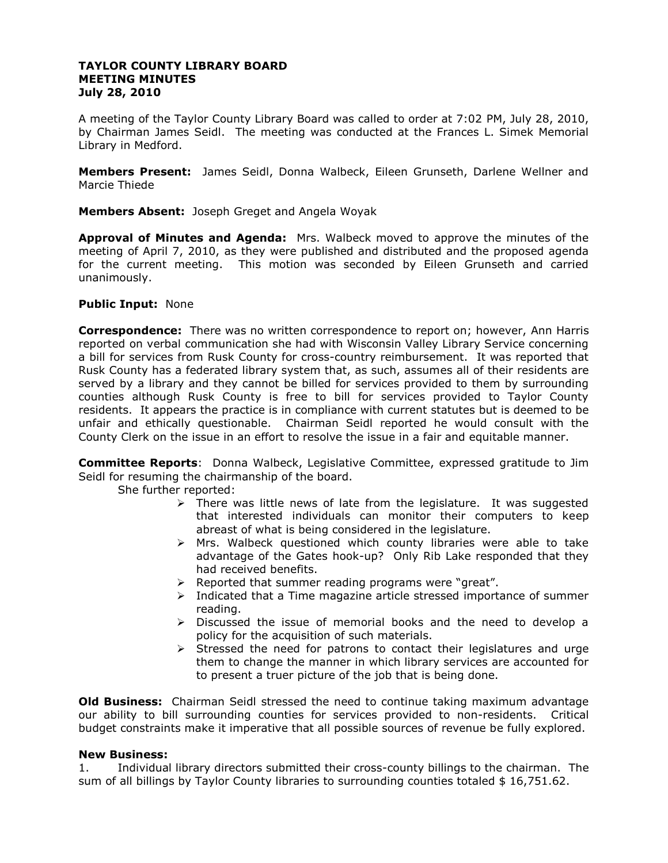## **TAYLOR COUNTY LIBRARY BOARD MEETING MINUTES July 28, 2010**

A meeting of the Taylor County Library Board was called to order at 7:02 PM, July 28, 2010, by Chairman James Seidl. The meeting was conducted at the Frances L. Simek Memorial Library in Medford.

**Members Present:** James Seidl, Donna Walbeck, Eileen Grunseth, Darlene Wellner and Marcie Thiede

**Members Absent:** Joseph Greget and Angela Woyak

**Approval of Minutes and Agenda:** Mrs. Walbeck moved to approve the minutes of the meeting of April 7, 2010, as they were published and distributed and the proposed agenda for the current meeting. This motion was seconded by Eileen Grunseth and carried unanimously.

### **Public Input:** None

**Correspondence:** There was no written correspondence to report on; however, Ann Harris reported on verbal communication she had with Wisconsin Valley Library Service concerning a bill for services from Rusk County for cross-country reimbursement. It was reported that Rusk County has a federated library system that, as such, assumes all of their residents are served by a library and they cannot be billed for services provided to them by surrounding counties although Rusk County is free to bill for services provided to Taylor County residents. It appears the practice is in compliance with current statutes but is deemed to be unfair and ethically questionable. Chairman Seidl reported he would consult with the County Clerk on the issue in an effort to resolve the issue in a fair and equitable manner.

**Committee Reports**: Donna Walbeck, Legislative Committee, expressed gratitude to Jim Seidl for resuming the chairmanship of the board.

She further reported:

- $\triangleright$  There was little news of late from the legislature. It was suggested that interested individuals can monitor their computers to keep abreast of what is being considered in the legislature.
- $\triangleright$  Mrs. Walbeck questioned which county libraries were able to take advantage of the Gates hook-up? Only Rib Lake responded that they had received benefits.
- > Reported that summer reading programs were "great".
- $\triangleright$  Indicated that a Time magazine article stressed importance of summer reading.
- $\triangleright$  Discussed the issue of memorial books and the need to develop a policy for the acquisition of such materials.
- $\triangleright$  Stressed the need for patrons to contact their legislatures and urge them to change the manner in which library services are accounted for to present a truer picture of the job that is being done.

**Old Business:** Chairman Seidl stressed the need to continue taking maximum advantage our ability to bill surrounding counties for services provided to non-residents. Critical budget constraints make it imperative that all possible sources of revenue be fully explored.

# **New Business:**

1. Individual library directors submitted their cross-county billings to the chairman. The sum of all billings by Taylor County libraries to surrounding counties totaled  $$16,751.62$ .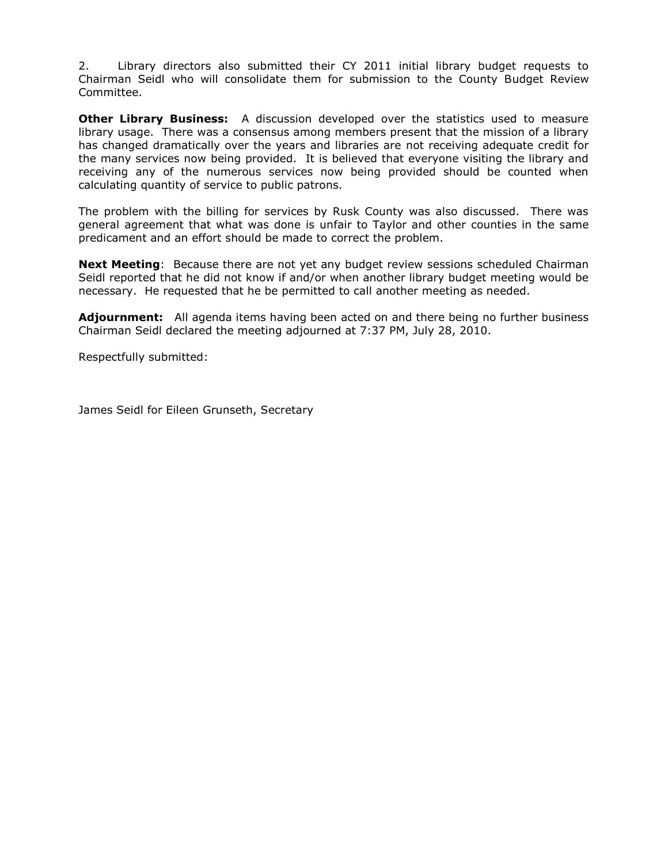2. Library directors also submitted their CY 2011 initial library budget requests to Chairman Seidl who will consolidate them for submission to the County Budget Review Committee.

**Other Library Business:** A discussion developed over the statistics used to measure library usage. There was a consensus among members present that the mission of a library has changed dramatically over the years and libraries are not receiving adequate credit for the many services now being provided. It is believed that everyone visiting the library and receiving any of the numerous services now being provided should be counted when calculating quantity of service to public patrons.

The problem with the billing for services by Rusk County was also discussed. There was general agreement that what was done is unfair to Taylor and other counties in the same predicament and an effort should be made to correct the problem.

**Next Meeting**: Because there are not yet any budget review sessions scheduled Chairman Seidl reported that he did not know if and/or when another library budget meeting would be necessary. He requested that he be permitted to call another meeting as needed.

**Adjournment:** All agenda items having been acted on and there being no further business Chairman Seidl declared the meeting adjourned at 7:37 PM, July 28, 2010.

Respectfully submitted:

James Seidl for Eileen Grunseth, Secretary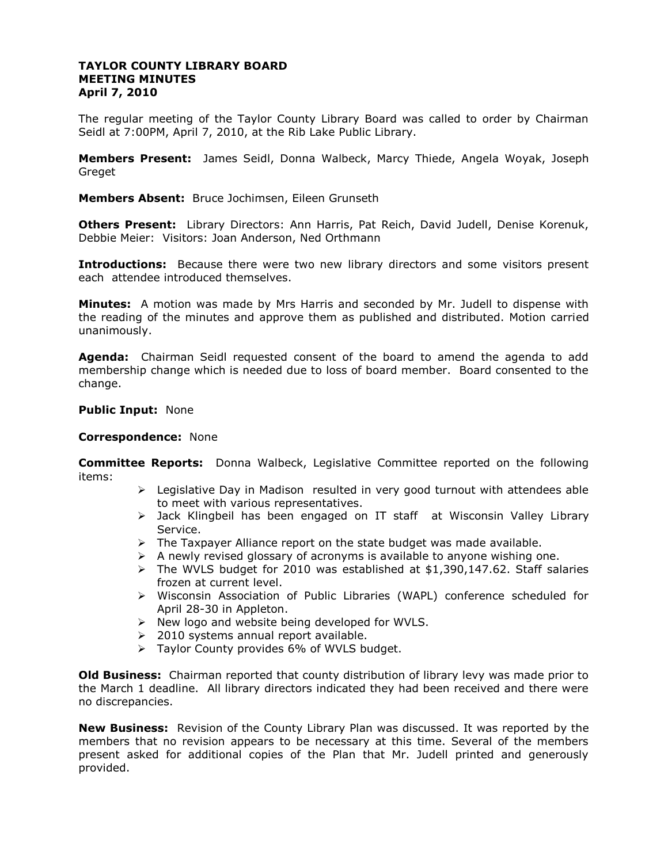## **TAYLOR COUNTY LIBRARY BOARD MEETING MINUTES April 7, 2010**

The regular meeting of the Taylor County Library Board was called to order by Chairman Seidl at 7:00PM, April 7, 2010, at the Rib Lake Public Library.

**Members Present:** James Seidl, Donna Walbeck, Marcy Thiede, Angela Woyak, Joseph Greget

**Members Absent:** Bruce Jochimsen, Eileen Grunseth

**Others Present:** Library Directors: Ann Harris, Pat Reich, David Judell, Denise Korenuk, Debbie Meier: Visitors: Joan Anderson, Ned Orthmann

**Introductions:** Because there were two new library directors and some visitors present each attendee introduced themselves.

**Minutes:** A motion was made by Mrs Harris and seconded by Mr. Judell to dispense with the reading of the minutes and approve them as published and distributed. Motion carried unanimously.

**Agenda:** Chairman Seidl requested consent of the board to amend the agenda to add membership change which is needed due to loss of board member. Board consented to the change.

#### **Public Input:** None

#### **Correspondence:** None

**Committee Reports:** Donna Walbeck, Legislative Committee reported on the following items:

- $\triangleright$  Legislative Day in Madison resulted in very good turnout with attendees able to meet with various representatives.
- > Jack Klingbeil has been engaged on IT staff at Wisconsin Valley Library Service.
- $\triangleright$  The Taxpayer Alliance report on the state budget was made available.
- $\triangleright$  A newly revised glossary of acronyms is available to anyone wishing one.
- $\triangleright$  The WVLS budget for 2010 was established at \$1,390,147.62. Staff salaries frozen at current level.
- Wisconsin Association of Public Libraries (WAPL) conference scheduled for April 28-30 in Appleton.
- $\triangleright$  New logo and website being developed for WVLS.
- $\geq$  2010 systems annual report available.
- $\triangleright$  Taylor County provides 6% of WVLS budget.

**Old Business:** Chairman reported that county distribution of library levy was made prior to the March 1 deadline. All library directors indicated they had been received and there were no discrepancies.

**New Business:** Revision of the County Library Plan was discussed. It was reported by the members that no revision appears to be necessary at this time. Several of the members present asked for additional copies of the Plan that Mr. Judell printed and generously provided.